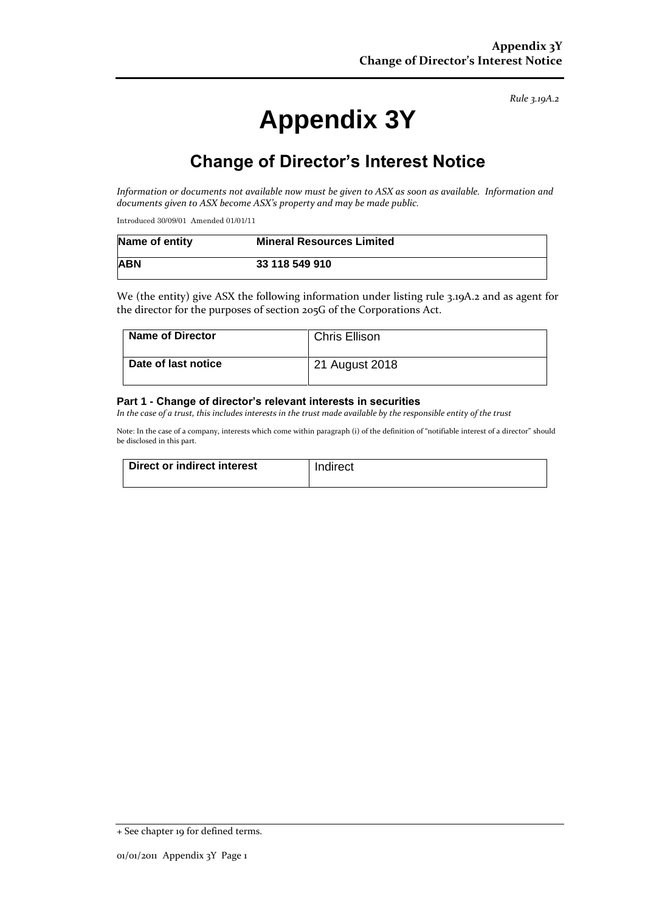*Rule 3.19A.2*

# **Appendix 3Y**

# **Change of Director's Interest Notice**

*Information or documents not available now must be given to ASX as soon as available. Information and documents given to ASX become ASX's property and may be made public.*

Introduced 30/09/01 Amended 01/01/11

| Name of entity | <b>Mineral Resources Limited</b> |
|----------------|----------------------------------|
| <b>ABN</b>     | 33 118 549 910                   |

We (the entity) give ASX the following information under listing rule 3.19A.2 and as agent for the director for the purposes of section 205G of the Corporations Act.

| <b>Name of Director</b> | <b>Chris Ellison</b> |
|-------------------------|----------------------|
| l Date of last notice   | 21 August 2018       |

#### **Part 1 - Change of director's relevant interests in securities**

*In the case of a trust, this includes interests in the trust made available by the responsible entity of the trust*

Note: In the case of a company, interests which come within paragraph (i) of the definition of "notifiable interest of a director" should be disclosed in this part.

| Direct or indirect interest | Indirect |
|-----------------------------|----------|
|                             |          |

<sup>+</sup> See chapter 19 for defined terms.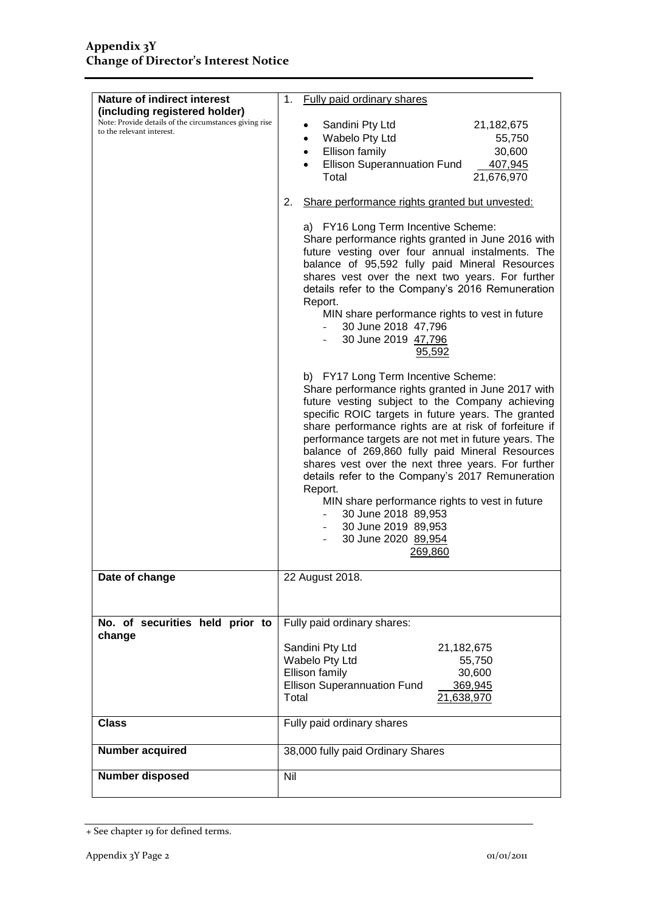| <b>Nature of indirect interest</b>                                                      | Fully paid ordinary shares<br>1.                                                                                                                                                                                                                                                                                                                                                                                                                                                                                                                                                                                              |
|-----------------------------------------------------------------------------------------|-------------------------------------------------------------------------------------------------------------------------------------------------------------------------------------------------------------------------------------------------------------------------------------------------------------------------------------------------------------------------------------------------------------------------------------------------------------------------------------------------------------------------------------------------------------------------------------------------------------------------------|
| (including registered holder)<br>Note: Provide details of the circumstances giving rise | Sandini Pty Ltd<br>21,182,675                                                                                                                                                                                                                                                                                                                                                                                                                                                                                                                                                                                                 |
| to the relevant interest.                                                               | Wabelo Pty Ltd<br>55,750<br>$\bullet$                                                                                                                                                                                                                                                                                                                                                                                                                                                                                                                                                                                         |
|                                                                                         | Ellison family<br>30,600<br>$\bullet$<br><b>Ellison Superannuation Fund</b><br>407,945                                                                                                                                                                                                                                                                                                                                                                                                                                                                                                                                        |
|                                                                                         | Total<br>21,676,970                                                                                                                                                                                                                                                                                                                                                                                                                                                                                                                                                                                                           |
|                                                                                         | Share performance rights granted but unvested:<br>2.                                                                                                                                                                                                                                                                                                                                                                                                                                                                                                                                                                          |
|                                                                                         | a) FY16 Long Term Incentive Scheme:<br>Share performance rights granted in June 2016 with<br>future vesting over four annual instalments. The<br>balance of 95,592 fully paid Mineral Resources<br>shares vest over the next two years. For further<br>details refer to the Company's 2016 Remuneration<br>Report.<br>MIN share performance rights to vest in future<br>30 June 2018 47,796<br>30 June 2019 47,796<br>95,592                                                                                                                                                                                                  |
|                                                                                         | b) FY17 Long Term Incentive Scheme:<br>Share performance rights granted in June 2017 with<br>future vesting subject to the Company achieving<br>specific ROIC targets in future years. The granted<br>share performance rights are at risk of forfeiture if<br>performance targets are not met in future years. The<br>balance of 269,860 fully paid Mineral Resources<br>shares vest over the next three years. For further<br>details refer to the Company's 2017 Remuneration<br>Report.<br>MIN share performance rights to vest in future<br>30 June 2018 89,953<br>30 June 2019 89,953<br>30 June 2020 89,954<br>269,860 |
| Date of change                                                                          | 22 August 2018.                                                                                                                                                                                                                                                                                                                                                                                                                                                                                                                                                                                                               |
|                                                                                         |                                                                                                                                                                                                                                                                                                                                                                                                                                                                                                                                                                                                                               |
| No. of securities held prior to<br>change                                               | Fully paid ordinary shares:                                                                                                                                                                                                                                                                                                                                                                                                                                                                                                                                                                                                   |
|                                                                                         | Sandini Pty Ltd<br>21,182,675<br>Wabelo Pty Ltd<br>55,750<br>Ellison family<br>30,600<br><b>Ellison Superannuation Fund</b><br>369,945                                                                                                                                                                                                                                                                                                                                                                                                                                                                                        |
|                                                                                         | Total<br>21,638,970                                                                                                                                                                                                                                                                                                                                                                                                                                                                                                                                                                                                           |
| <b>Class</b>                                                                            | Fully paid ordinary shares                                                                                                                                                                                                                                                                                                                                                                                                                                                                                                                                                                                                    |
| Number acquired                                                                         | 38,000 fully paid Ordinary Shares                                                                                                                                                                                                                                                                                                                                                                                                                                                                                                                                                                                             |
| <b>Number disposed</b>                                                                  | Nil                                                                                                                                                                                                                                                                                                                                                                                                                                                                                                                                                                                                                           |

<sup>+</sup> See chapter 19 for defined terms.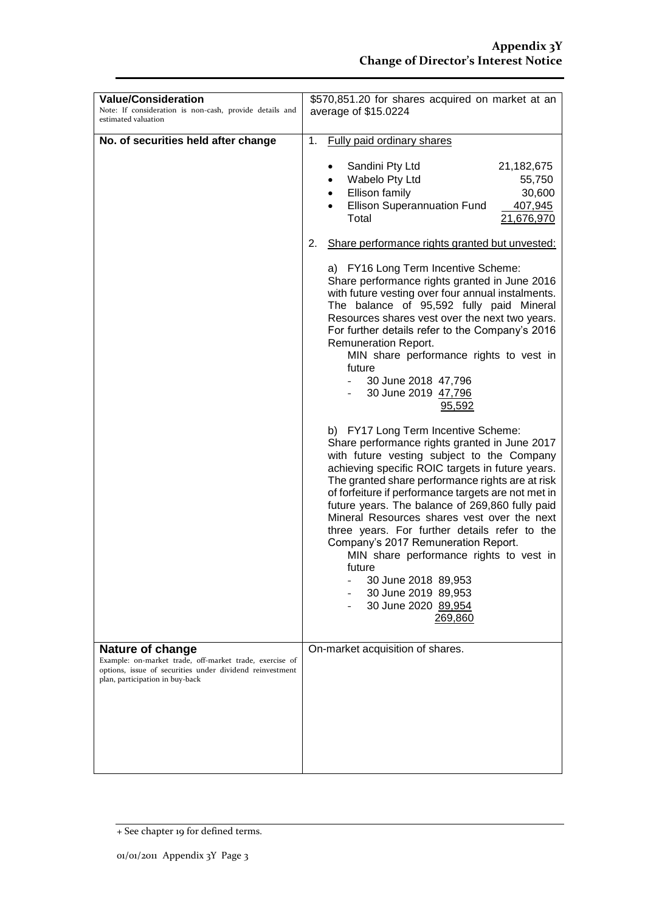| <b>Value/Consideration</b><br>Note: If consideration is non-cash, provide details and<br>estimated valuation                                                                      | \$570,851.20 for shares acquired on market at an<br>average of \$15.0224                                                                                                                                                                                                                                                                                                                                                                                                                                                                                                                                                         |  |
|-----------------------------------------------------------------------------------------------------------------------------------------------------------------------------------|----------------------------------------------------------------------------------------------------------------------------------------------------------------------------------------------------------------------------------------------------------------------------------------------------------------------------------------------------------------------------------------------------------------------------------------------------------------------------------------------------------------------------------------------------------------------------------------------------------------------------------|--|
| No. of securities held after change                                                                                                                                               | 1.<br><b>Fully paid ordinary shares</b><br>Sandini Pty Ltd<br>21,182,675<br>Wabelo Pty Ltd<br>55,750<br>Ellison family<br>30,600<br><b>Ellison Superannuation Fund</b><br>407,945<br>Total<br>21,676,970                                                                                                                                                                                                                                                                                                                                                                                                                         |  |
|                                                                                                                                                                                   | Share performance rights granted but unvested:<br>2.                                                                                                                                                                                                                                                                                                                                                                                                                                                                                                                                                                             |  |
|                                                                                                                                                                                   | a) FY16 Long Term Incentive Scheme:<br>Share performance rights granted in June 2016<br>with future vesting over four annual instalments.<br>The balance of 95,592 fully paid Mineral<br>Resources shares vest over the next two years.<br>For further details refer to the Company's 2016<br>Remuneration Report.<br>MIN share performance rights to vest in<br>future<br>30 June 2018 47,796<br>30 June 2019 47,796<br>95,592                                                                                                                                                                                                  |  |
|                                                                                                                                                                                   | b) FY17 Long Term Incentive Scheme:<br>Share performance rights granted in June 2017<br>with future vesting subject to the Company<br>achieving specific ROIC targets in future years.<br>The granted share performance rights are at risk<br>of forfeiture if performance targets are not met in<br>future years. The balance of 269,860 fully paid<br>Mineral Resources shares vest over the next<br>three years. For further details refer to the<br>Company's 2017 Remuneration Report.<br>MIN share performance rights to vest in<br>future<br>30 June 2018 89,953<br>30 June 2019 89,953<br>30 June 2020 89,954<br>269,860 |  |
| <b>Nature of change</b><br>Example: on-market trade, off-market trade, exercise of<br>options, issue of securities under dividend reinvestment<br>plan, participation in buy-back | On-market acquisition of shares.                                                                                                                                                                                                                                                                                                                                                                                                                                                                                                                                                                                                 |  |

<sup>+</sup> See chapter 19 for defined terms.